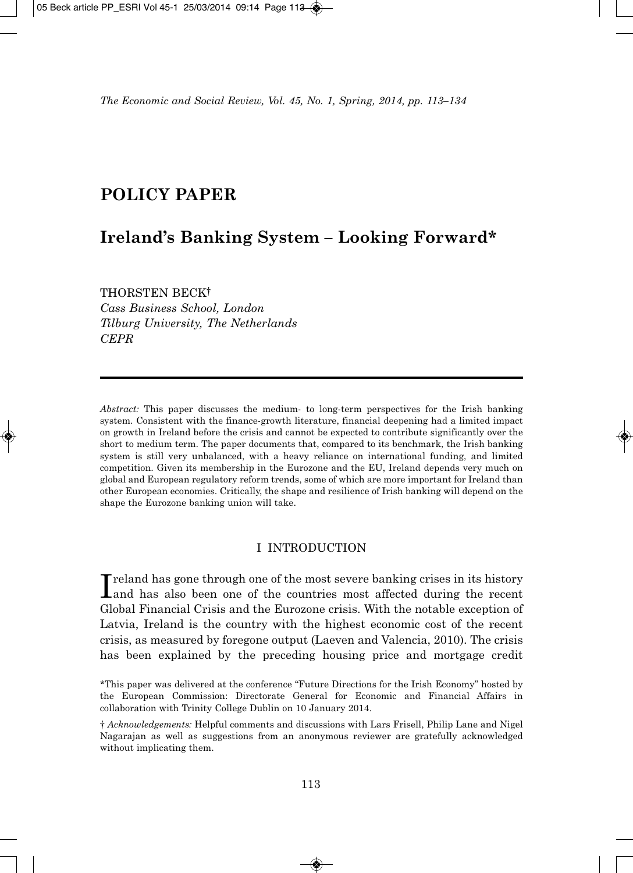# **POLICY PAPER**

## **Ireland's Banking System – Looking Forward\***

THORSTEN BECK†

*Cass Business School, London Tilburg University, The Netherlands CEPR*

*Abstract:* This paper discusses the medium- to long-term perspectives for the Irish banking system. Consistent with the finance-growth literature, financial deepening had a limited impact on growth in Ireland before the crisis and cannot be expected to contribute significantly over the short to medium term. The paper documents that, compared to its benchmark, the Irish banking system is still very unbalanced, with a heavy reliance on international funding, and limited competition. Given its membership in the Eurozone and the EU, Ireland depends very much on global and European regulatory reform trends, some of which are more important for Ireland than other European economies. Critically, the shape and resilience of Irish banking will depend on the shape the Eurozone banking union will take.

## I INTRODUCTION

Inceland has gone through one of the most severe banking crises in its history and has also been one of the countries most affected during the recent **T** reland has gone through one of the most severe banking crises in its history Global Financial Crisis and the Eurozone crisis. With the notable exception of Latvia, Ireland is the country with the highest economic cost of the recent crisis, as measured by foregone output (Laeven and Valencia, 2010). The crisis has been explained by the preceding housing price and mortgage credit

<sup>\*</sup>This paper was delivered at the conference "Future Directions for the Irish Economy" hosted by the European Commission: Directorate General for Economic and Financial Affairs in collaboration with Trinity College Dublin on 10 January 2014.

<sup>†</sup> *Acknowledgements:* Helpful comments and discussions with Lars Frisell, Philip Lane and Nigel Nagarajan as well as suggestions from an anonymous reviewer are gratefully acknowledged without implicating them.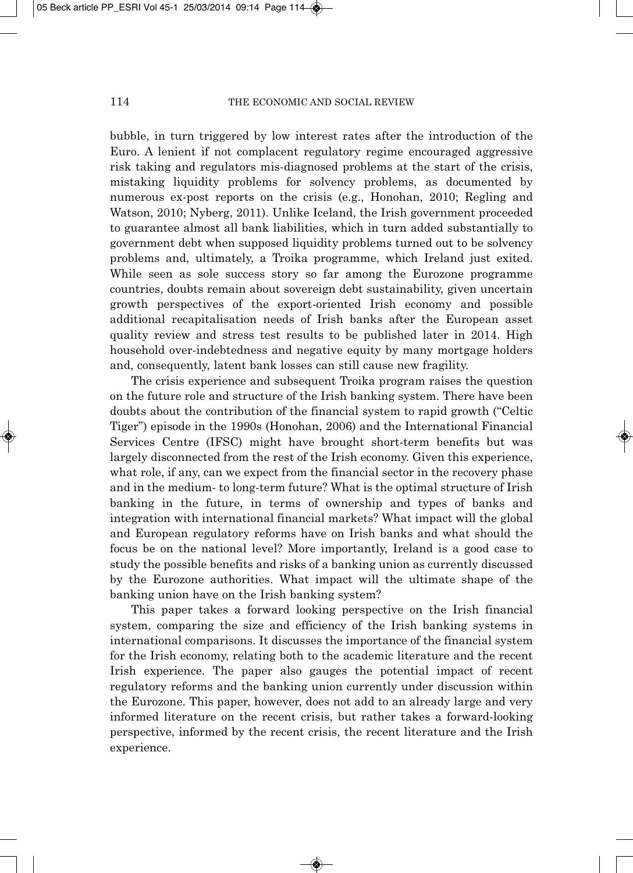bubble, in turn triggered by low interest rates after the introduction of the Euro. A lenient if not complacent regulatory regime encouraged aggressive risk taking and regulators mis-diagnosed problems at the start of the crisis, mistaking liquidity problems for solvency problems, as documented by numerous ex-post reports on the crisis (e.g., Honohan, 2010; Regling and Watson, 2010; Nyberg, 2011). Unlike Iceland, the Irish government proceeded to guarantee almost all bank liabilities, which in turn added substantially to government debt when supposed liquidity problems turned out to be solvency problems and, ultimately, a Troika programme, which Ireland just exited. While seen as sole success story so far among the Eurozone programme countries, doubts remain about sovereign debt sustainability, given uncertain growth perspectives of the export-oriented Irish economy and possible additional recapitalisation needs of Irish banks after the European asset quality review and stress test results to be published later in 2014. High household over-indebtedness and negative equity by many mortgage holders and, consequently, latent bank losses can still cause new fragility.

The crisis experience and subsequent Troika program raises the question on the future role and structure of the Irish banking system. There have been doubts about the contribution of the financial system to rapid growth ("Celtic Tiger") episode in the 1990s (Honohan, 2006) and the International Financial Services Centre (IFSC) might have brought short-term benefits but was largely disconnected from the rest of the Irish economy. Given this experience, what role, if any, can we expect from the financial sector in the recovery phase and in the medium- to long-term future? What is the optimal structure of Irish banking in the future, in terms of ownership and types of banks and integration with international financial markets? What impact will the global and European regulatory reforms have on Irish banks and what should the focus be on the national level? More importantly, Ireland is a good case to study the possible benefits and risks of a banking union as currently discussed by the Eurozone authorities. What impact will the ultimate shape of the banking union have on the Irish banking system?

This paper takes a forward looking perspective on the Irish financial system, comparing the size and efficiency of the Irish banking systems in international comparisons. It discusses the importance of the financial system for the Irish economy, relating both to the academic literature and the recent Irish experience. The paper also gauges the potential impact of recent regulatory reforms and the banking union currently under discussion within the Eurozone. This paper, however, does not add to an already large and very informed literature on the recent crisis, but rather takes a forward-looking perspective, informed by the recent crisis, the recent literature and the Irish experience.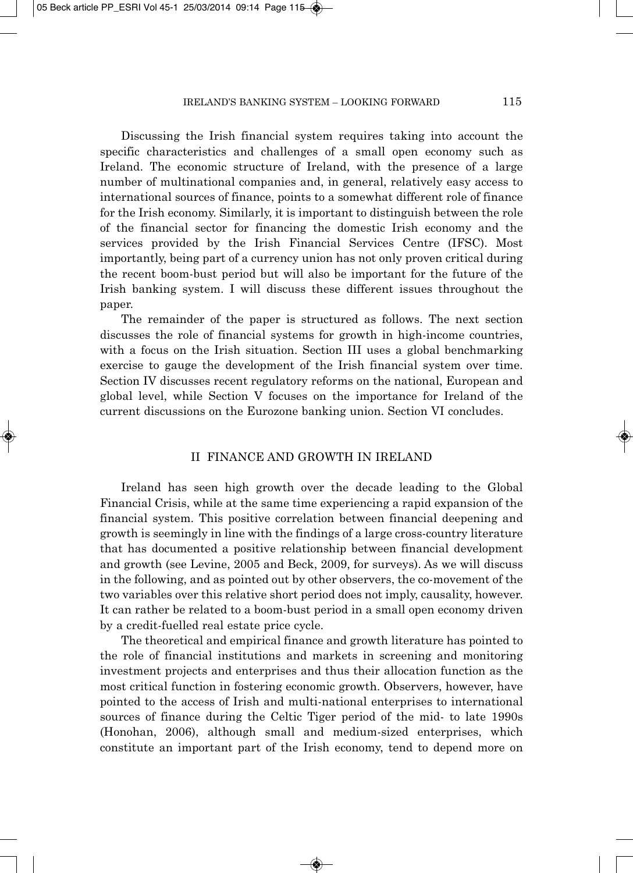Discussing the Irish financial system requires taking into account the specific characteristics and challenges of a small open economy such as Ireland. The economic structure of Ireland, with the presence of a large number of multinational companies and, in general, relatively easy access to international sources of finance, points to a somewhat different role of finance for the Irish economy. Similarly, it is important to distinguish between the role of the financial sector for financing the domestic Irish economy and the services provided by the Irish Financial Services Centre (IFSC). Most importantly, being part of a currency union has not only proven critical during the recent boom-bust period but will also be important for the future of the Irish banking system. I will discuss these different issues throughout the paper.

The remainder of the paper is structured as follows. The next section discusses the role of financial systems for growth in high-income countries, with a focus on the Irish situation. Section III uses a global benchmarking exercise to gauge the development of the Irish financial system over time. Section IV discusses recent regulatory reforms on the national, European and global level, while Section V focuses on the importance for Ireland of the current discussions on the Eurozone banking union. Section VI concludes.

#### II FINANCE AND GROWTH IN IRELAND

Ireland has seen high growth over the decade leading to the Global Financial Crisis, while at the same time experiencing a rapid expansion of the financial system. This positive correlation between financial deepening and growth is seemingly in line with the findings of a large cross-country literature that has documented a positive relationship between financial development and growth (see Levine, 2005 and Beck, 2009, for surveys). As we will discuss in the following, and as pointed out by other observers, the co-movement of the two variables over this relative short period does not imply, causality, however. It can rather be related to a boom-bust period in a small open economy driven by a credit-fuelled real estate price cycle.

The theoretical and empirical finance and growth literature has pointed to the role of financial institutions and markets in screening and monitoring investment projects and enterprises and thus their allocation function as the most critical function in fostering economic growth. Observers, however, have pointed to the access of Irish and multi-national enterprises to international sources of finance during the Celtic Tiger period of the mid- to late 1990s (Honohan, 2006), although small and medium-sized enterprises, which constitute an important part of the Irish economy, tend to depend more on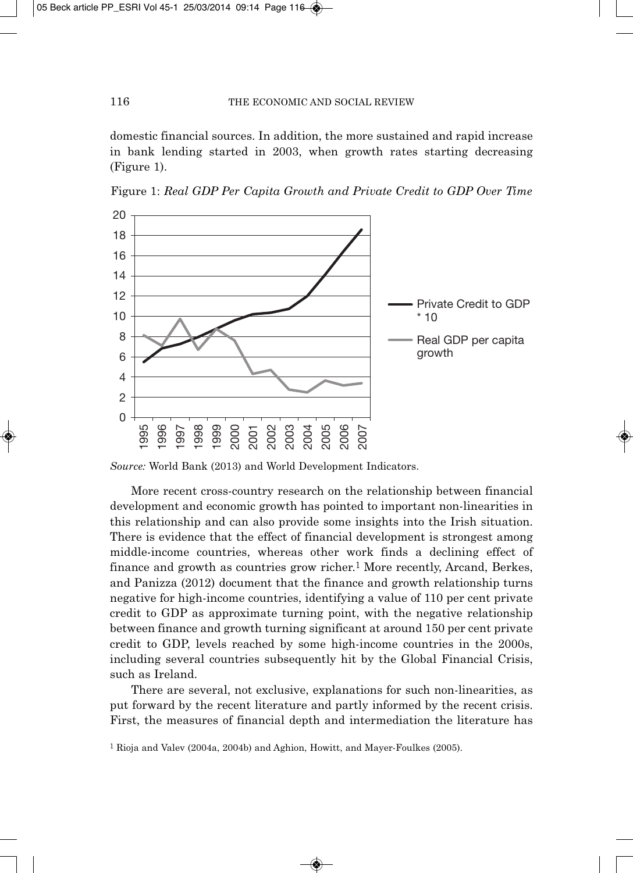domestic financial sources. In addition, the more sustained and rapid increase in bank lending started in 2003, when growth rates starting decreasing (Figure 1).



Figure 1: *Real GDP Per Capita Growth and Private Credit to GDP Over Time*

*Source:* World Bank (2013) and World Development Indicators.

More recent cross-country research on the relationship between financial development and economic growth has pointed to important non-linearities in this relationship and can also provide some insights into the Irish situation. There is evidence that the effect of financial development is strongest among middle-income countries, whereas other work finds a declining effect of finance and growth as countries grow richer.1 More recently, Arcand, Berkes, and Panizza (2012) document that the finance and growth relationship turns negative for high-income countries, identifying a value of 110 per cent private credit to GDP as approximate turning point, with the negative relationship between finance and growth turning significant at around 150 per cent private credit to GDP, levels reached by some high-income countries in the 2000s, including several countries subsequently hit by the Global Financial Crisis, such as Ireland.

There are several, not exclusive, explanations for such non-linearities, as put forward by the recent literature and partly informed by the recent crisis. First, the measures of financial depth and intermediation the literature has

<sup>1</sup> Rioja and Valev (2004a, 2004b) and Aghion, Howitt, and Mayer-Foulkes (2005).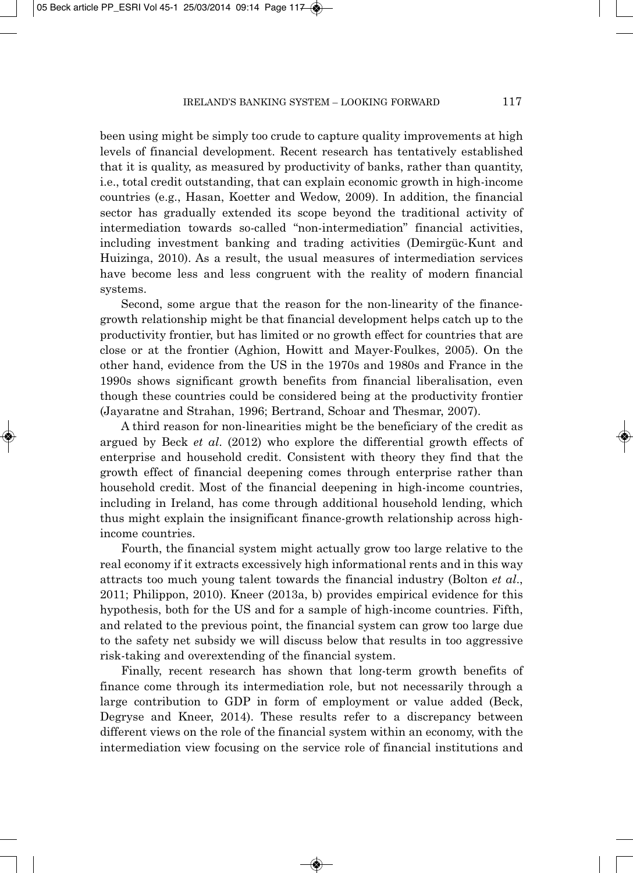been using might be simply too crude to capture quality improvements at high levels of financial development. Recent research has tentatively established that it is quality, as measured by productivity of banks, rather than quantity, i.e., total credit outstanding, that can explain economic growth in high-income countries (e.g., Hasan, Koetter and Wedow, 2009). In addition, the financial sector has gradually extended its scope beyond the traditional activity of intermediation towards so-called "non-intermediation" financial activities, including investment banking and trading activities (Demirgüc-Kunt and Huizinga, 2010). As a result, the usual measures of intermediation services have become less and less congruent with the reality of modern financial systems.

Second, some argue that the reason for the non-linearity of the financegrowth relationship might be that financial development helps catch up to the productivity frontier, but has limited or no growth effect for countries that are close or at the frontier (Aghion, Howitt and Mayer-Foulkes, 2005). On the other hand, evidence from the US in the 1970s and 1980s and France in the 1990s shows significant growth benefits from financial liberalisation, even though these countries could be considered being at the productivity frontier (Jayaratne and Strahan, 1996; Bertrand, Schoar and Thesmar, 2007).

A third reason for non-linearities might be the beneficiary of the credit as argued by Beck *et al*. (2012) who explore the differential growth effects of enterprise and household credit. Consistent with theory they find that the growth effect of financial deepening comes through enterprise rather than household credit. Most of the financial deepening in high-income countries, including in Ireland, has come through additional household lending, which thus might explain the insignificant finance-growth relationship across highincome countries.

Fourth, the financial system might actually grow too large relative to the real economy if it extracts excessively high informational rents and in this way attracts too much young talent towards the financial industry (Bolton *et al*., 2011; Philippon, 2010). Kneer (2013a, b) provides empirical evidence for this hypothesis, both for the US and for a sample of high-income countries. Fifth, and related to the previous point, the financial system can grow too large due to the safety net subsidy we will discuss below that results in too aggressive risk-taking and overextending of the financial system.

Finally, recent research has shown that long-term growth benefits of finance come through its intermediation role, but not necessarily through a large contribution to GDP in form of employment or value added (Beck, Degryse and Kneer, 2014). These results refer to a discrepancy between different views on the role of the financial system within an economy, with the intermediation view focusing on the service role of financial institutions and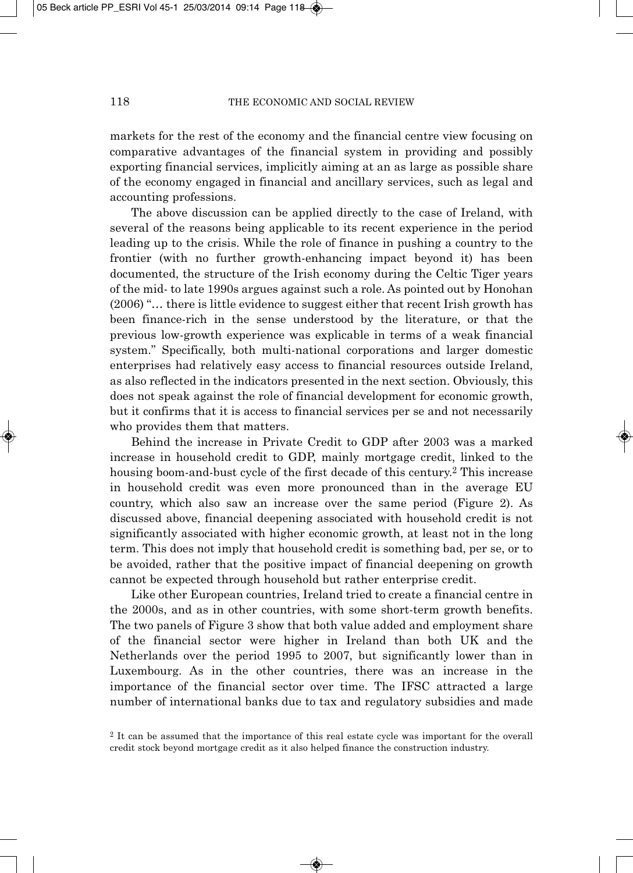markets for the rest of the economy and the financial centre view focusing on comparative advantages of the financial system in providing and possibly exporting financial services, implicitly aiming at an as large as possible share of the economy engaged in financial and ancillary services, such as legal and accounting professions.

The above discussion can be applied directly to the case of Ireland, with several of the reasons being applicable to its recent experience in the period leading up to the crisis. While the role of finance in pushing a country to the frontier (with no further growth-enhancing impact beyond it) has been documented, the structure of the Irish economy during the Celtic Tiger years of the mid- to late 1990s argues against such a role. As pointed out by Honohan (2006) "… there is little evidence to suggest either that recent Irish growth has been finance-rich in the sense understood by the literature, or that the previous low-growth experience was explicable in terms of a weak financial system." Specifically, both multi-national corporations and larger domestic enterprises had relatively easy access to financial resources outside Ireland, as also reflected in the indicators presented in the next section. Obviously, this does not speak against the role of financial development for economic growth, but it confirms that it is access to financial services per se and not necessarily who provides them that matters.

Behind the increase in Private Credit to GDP after 2003 was a marked increase in household credit to GDP, mainly mortgage credit, linked to the housing boom-and-bust cycle of the first decade of this century.2 This increase in household credit was even more pronounced than in the average EU country, which also saw an increase over the same period (Figure 2). As discussed above, financial deepening associated with household credit is not significantly associated with higher economic growth, at least not in the long term. This does not imply that household credit is something bad, per se, or to be avoided, rather that the positive impact of financial deepening on growth cannot be expected through household but rather enterprise credit.

Like other European countries, Ireland tried to create a financial centre in the 2000s, and as in other countries, with some short-term growth benefits. The two panels of Figure 3 show that both value added and employment share of the financial sector were higher in Ireland than both UK and the Netherlands over the period 1995 to 2007, but significantly lower than in Luxembourg. As in the other countries, there was an increase in the importance of the financial sector over time. The IFSC attracted a large number of international banks due to tax and regulatory subsidies and made

<sup>&</sup>lt;sup>2</sup> It can be assumed that the importance of this real estate cycle was important for the overall credit stock beyond mortgage credit as it also helped finance the construction industry.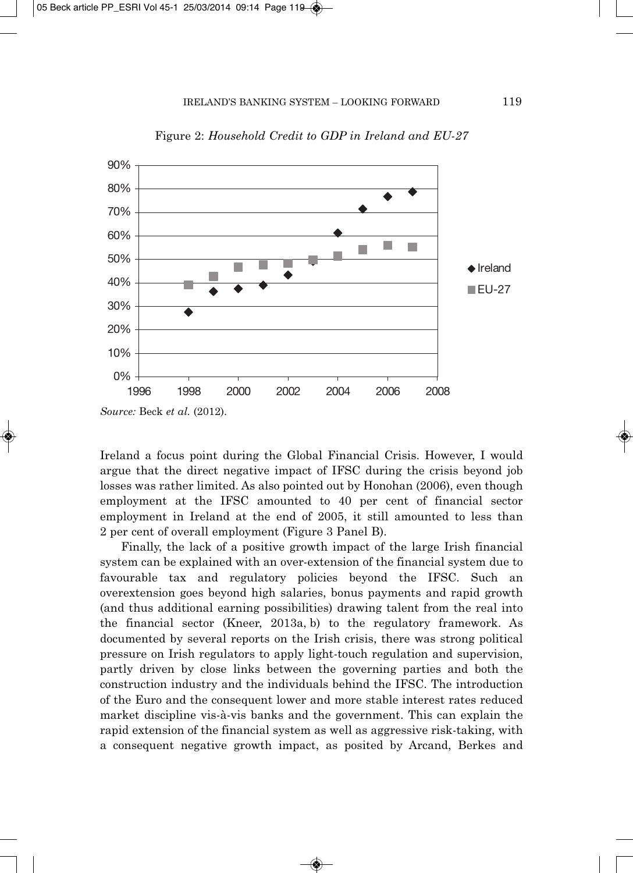

Figure 2: *Household Credit to GDP in Ireland and EU-27*

Ireland a focus point during the Global Financial Crisis. However, I would argue that the direct negative impact of IFSC during the crisis beyond job losses was rather limited. As also pointed out by Honohan (2006), even though employment at the IFSC amounted to 40 per cent of financial sector employment in Ireland at the end of 2005, it still amounted to less than 2 per cent of overall employment (Figure 3 Panel B).

Finally, the lack of a positive growth impact of the large Irish financial system can be explained with an over-extension of the financial system due to favourable tax and regulatory policies beyond the IFSC. Such an overextension goes beyond high salaries, bonus payments and rapid growth (and thus additional earning possibilities) drawing talent from the real into the financial sector (Kneer, 2013a, b) to the regulatory framework. As documented by several reports on the Irish crisis, there was strong political pressure on Irish regulators to apply light-touch regulation and supervision, partly driven by close links between the governing parties and both the construction industry and the individuals behind the IFSC. The introduction of the Euro and the consequent lower and more stable interest rates reduced market discipline vis-à-vis banks and the government. This can explain the rapid extension of the financial system as well as aggressive risk-taking, with a consequent negative growth impact, as posited by Arcand, Berkes and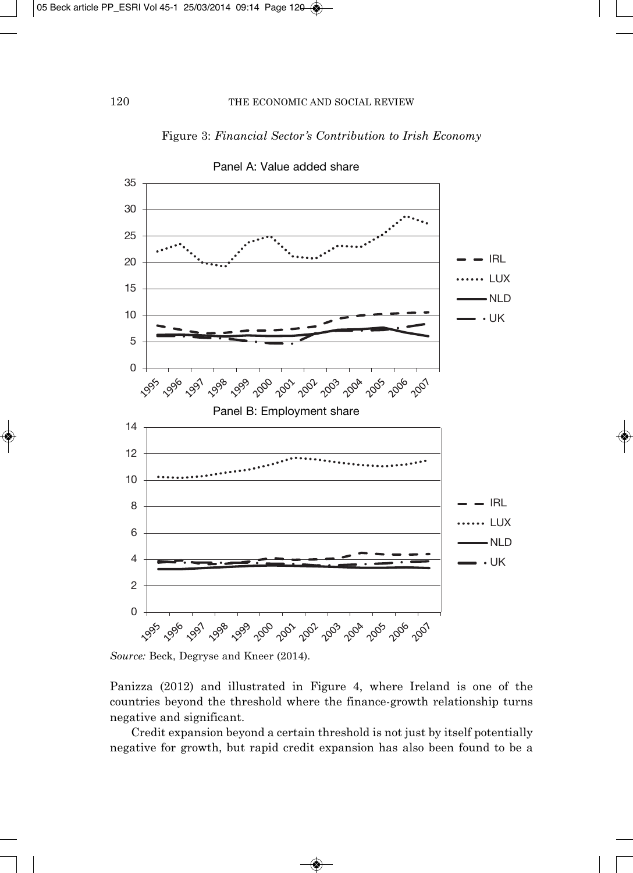## Figure 3: *Financial Sector's Contribution to Irish Economy*



Panel A: Value added share

Panizza (2012) and illustrated in Figure 4, where Ireland is one of the countries beyond the threshold where the finance-growth relationship turns negative and significant.

Credit expansion beyond a certain threshold is not just by itself potentially negative for growth, but rapid credit expansion has also been found to be a

*Source:* Beck, Degryse and Kneer (2014).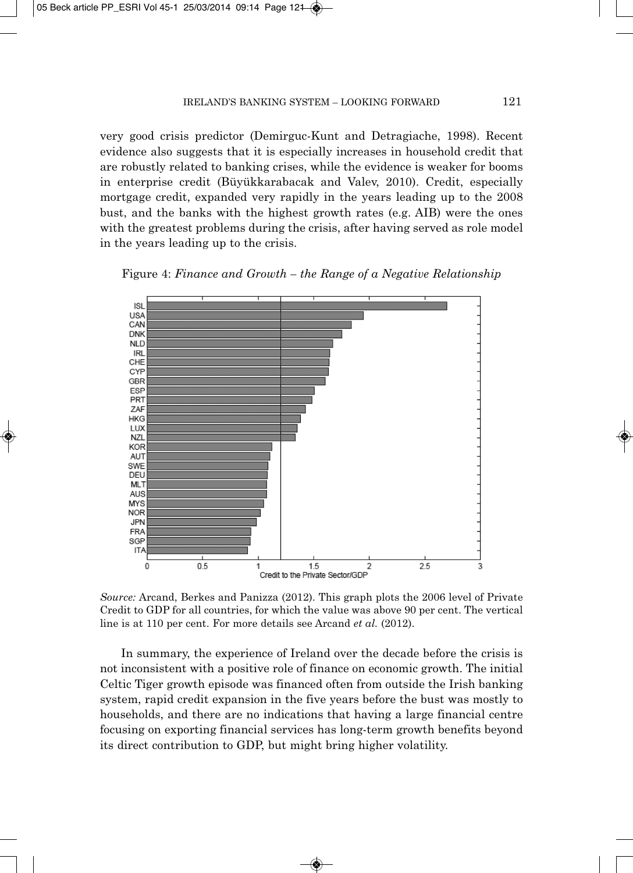very good crisis predictor (Demirguc-Kunt and Detragiache, 1998). Recent evidence also suggests that it is especially increases in household credit that are robustly related to banking crises, while the evidence is weaker for booms in enterprise credit (Büyükkarabacak and Valev, 2010). Credit, especially mortgage credit, expanded very rapidly in the years leading up to the 2008 bust, and the banks with the highest growth rates (e.g. AIB) were the ones with the greatest problems during the crisis, after having served as role model in the years leading up to the crisis.





*Source:* Arcand, Berkes and Panizza (2012). This graph plots the 2006 level of Private Credit to GDP for all countries, for which the value was above 90 per cent. The vertical line is at 110 per cent. For more details see Arcand *et al.* (2012).

In summary, the experience of Ireland over the decade before the crisis is not inconsistent with a positive role of finance on economic growth. The initial Celtic Tiger growth episode was financed often from outside the Irish banking system, rapid credit expansion in the five years before the bust was mostly to households, and there are no indications that having a large financial centre focusing on exporting financial services has long-term growth benefits beyond its direct contribution to GDP, but might bring higher volatility.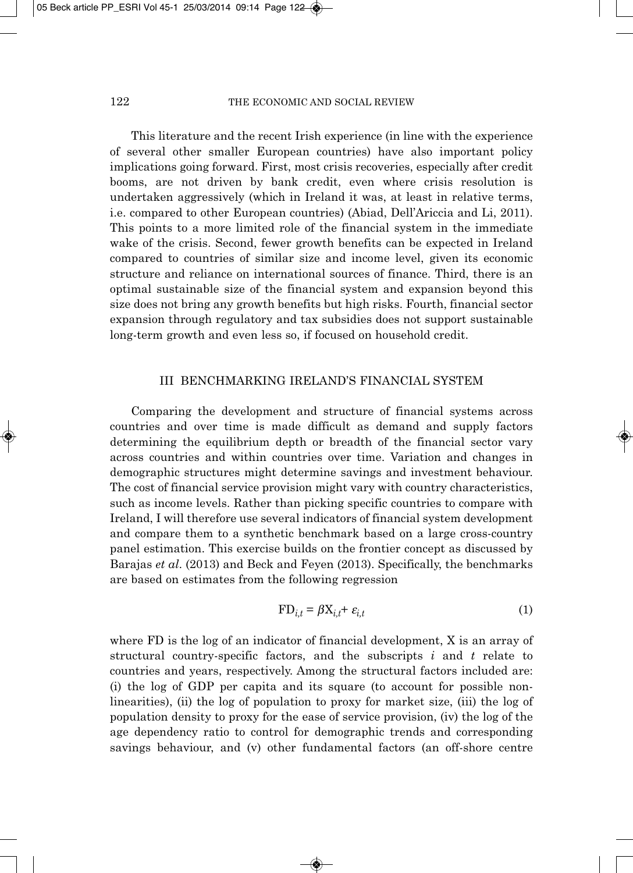This literature and the recent Irish experience (in line with the experience of several other smaller European countries) have also important policy implications going forward. First, most crisis recoveries, especially after credit booms, are not driven by bank credit, even where crisis resolution is undertaken aggressively (which in Ireland it was, at least in relative terms, i.e. compared to other European countries) (Abiad, Dell'Ariccia and Li, 2011). This points to a more limited role of the financial system in the immediate wake of the crisis. Second, fewer growth benefits can be expected in Ireland compared to countries of similar size and income level, given its economic structure and reliance on international sources of finance. Third, there is an optimal sustainable size of the financial system and expansion beyond this size does not bring any growth benefits but high risks. Fourth, financial sector expansion through regulatory and tax subsidies does not support sustainable long-term growth and even less so, if focused on household credit.

### III BENCHMARKING IRELAND'S FINANCIAL SYSTEM

Comparing the development and structure of financial systems across countries and over time is made difficult as demand and supply factors determining the equilibrium depth or breadth of the financial sector vary across countries and within countries over time. Variation and changes in demographic structures might determine savings and investment behaviour. The cost of financial service provision might vary with country characteristics, such as income levels. Rather than picking specific countries to compare with Ireland, I will therefore use several indicators of financial system development and compare them to a synthetic benchmark based on a large cross-country panel estimation. This exercise builds on the frontier concept as discussed by Barajas *et al*. (2013) and Beck and Feyen (2013). Specifically, the benchmarks are based on estimates from the following regression

$$
FD_{i,t} = \beta X_{i,t} + \varepsilon_{i,t}
$$
 (1)

where FD is the log of an indicator of financial development, X is an array of structural country-specific factors, and the subscripts *i* and *t* relate to countries and years, respectively. Among the structural factors included are: (i) the log of GDP per capita and its square (to account for possible nonlinearities), (ii) the log of population to proxy for market size, (iii) the log of population density to proxy for the ease of service provision, (iv) the log of the age dependency ratio to control for demographic trends and corresponding savings behaviour, and (v) other fundamental factors (an off-shore centre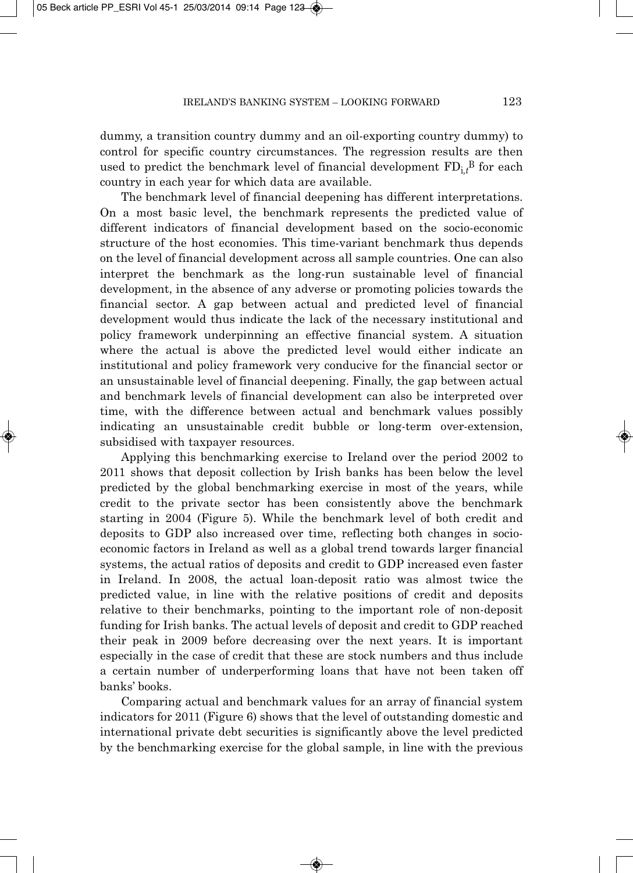dummy, a transition country dummy and an oil-exporting country dummy) to control for specific country circumstances. The regression results are then used to predict the benchmark level of financial development  $\mathrm{FD}_\mathrm{i,t}{}^\mathrm{B}$  for each country in each year for which data are available.

The benchmark level of financial deepening has different interpretations. On a most basic level, the benchmark represents the predicted value of different indicators of financial development based on the socio-economic structure of the host economies. This time-variant benchmark thus depends on the level of financial development across all sample countries. One can also interpret the benchmark as the long-run sustainable level of financial development, in the absence of any adverse or promoting policies towards the financial sector. A gap between actual and predicted level of financial development would thus indicate the lack of the necessary institutional and policy framework underpinning an effective financial system. A situation where the actual is above the predicted level would either indicate an institutional and policy framework very conducive for the financial sector or an unsustainable level of financial deepening. Finally, the gap between actual and benchmark levels of financial development can also be interpreted over time, with the difference between actual and benchmark values possibly indicating an unsustainable credit bubble or long-term over-extension, subsidised with taxpayer resources.

Applying this benchmarking exercise to Ireland over the period 2002 to 2011 shows that deposit collection by Irish banks has been below the level predicted by the global benchmarking exercise in most of the years, while credit to the private sector has been consistently above the benchmark starting in 2004 (Figure 5). While the benchmark level of both credit and deposits to GDP also increased over time, reflecting both changes in socioeconomic factors in Ireland as well as a global trend towards larger financial systems, the actual ratios of deposits and credit to GDP increased even faster in Ireland. In 2008, the actual loan-deposit ratio was almost twice the predicted value, in line with the relative positions of credit and deposits relative to their benchmarks, pointing to the important role of non-deposit funding for Irish banks. The actual levels of deposit and credit to GDP reached their peak in 2009 before decreasing over the next years. It is important especially in the case of credit that these are stock numbers and thus include a certain number of underperforming loans that have not been taken off banks' books.

Comparing actual and benchmark values for an array of financial system indicators for 2011 (Figure 6) shows that the level of outstanding domestic and international private debt securities is significantly above the level predicted by the benchmarking exercise for the global sample, in line with the previous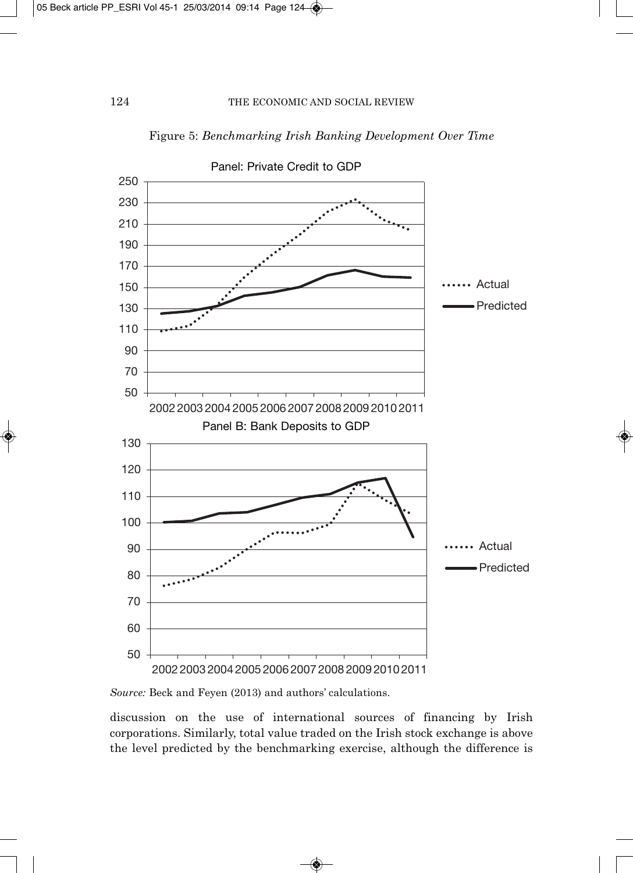

Figure 5: *Benchmarking Irish Banking Development Over Time*

*Source:* Beck and Feyen (2013) and authors' calculations.

discussion on the use of international sources of financing by Irish corporations. Similarly, total value traded on the Irish stock exchange is above the level predicted by the benchmarking exercise, although the difference is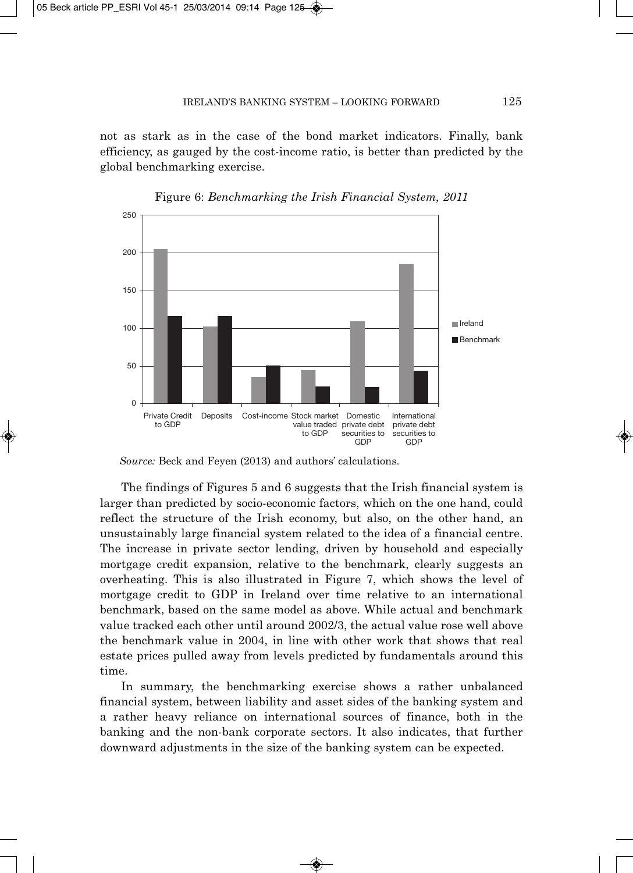not as stark as in the case of the bond market indicators. Finally, bank efficiency, as gauged by the cost-income ratio, is better than predicted by the global benchmarking exercise.





The findings of Figures 5 and 6 suggests that the Irish financial system is larger than predicted by socio-economic factors, which on the one hand, could reflect the structure of the Irish economy, but also, on the other hand, an unsustainably large financial system related to the idea of a financial centre. The increase in private sector lending, driven by household and especially mortgage credit expansion, relative to the benchmark, clearly suggests an overheating. This is also illustrated in Figure 7, which shows the level of mortgage credit to GDP in Ireland over time relative to an international benchmark, based on the same model as above. While actual and benchmark value tracked each other until around 2002/3, the actual value rose well above the benchmark value in 2004, in line with other work that shows that real estate prices pulled away from levels predicted by fundamentals around this time.

In summary, the benchmarking exercise shows a rather unbalanced financial system, between liability and asset sides of the banking system and a rather heavy reliance on international sources of finance, both in the banking and the non-bank corporate sectors. It also indicates, that further downward adjustments in the size of the banking system can be expected.

*Source:* Beck and Feyen (2013) and authors' calculations.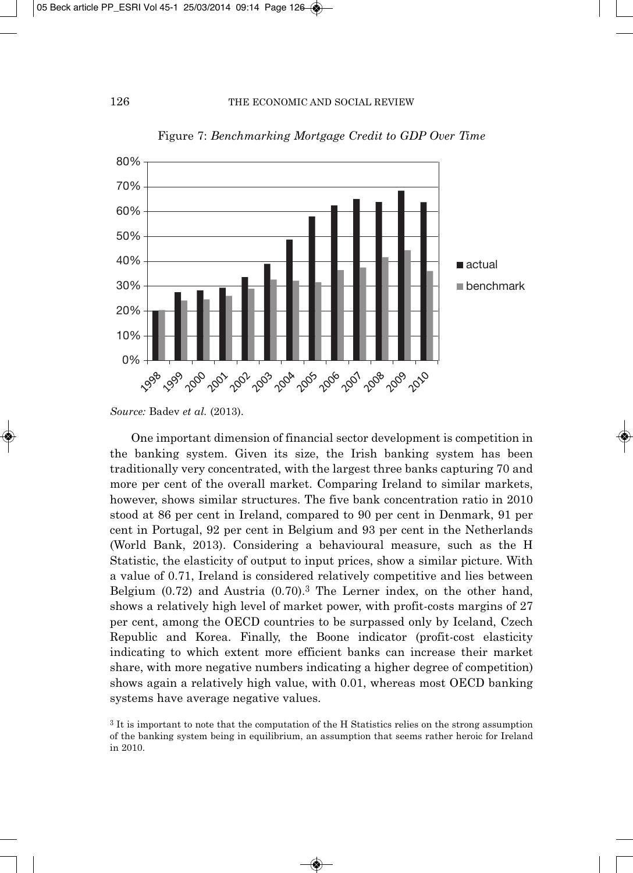

Figure 7: *Benchmarking Mortgage Credit to GDP Over Time*

One important dimension of financial sector development is competition in the banking system. Given its size, the Irish banking system has been traditionally very concentrated, with the largest three banks capturing 70 and more per cent of the overall market. Comparing Ireland to similar markets, however, shows similar structures. The five bank concentration ratio in 2010 stood at 86 per cent in Ireland, compared to 90 per cent in Denmark, 91 per cent in Portugal, 92 per cent in Belgium and 93 per cent in the Netherlands (World Bank, 2013). Considering a behavioural measure, such as the H Statistic, the elasticity of output to input prices, show a similar picture. With a value of 0.71, Ireland is considered relatively competitive and lies between Belgium (0.72) and Austria (0.70).3 The Lerner index, on the other hand, shows a relatively high level of market power, with profit-costs margins of 27 per cent, among the OECD countries to be surpassed only by Iceland, Czech Republic and Korea. Finally, the Boone indicator (profit-cost elasticity indicating to which extent more efficient banks can increase their market share, with more negative numbers indicating a higher degree of competition) shows again a relatively high value, with 0.01, whereas most OECD banking systems have average negative values.

*Source:* Badev *et al.* (2013).

<sup>3</sup> It is important to note that the computation of the H Statistics relies on the strong assumption of the banking system being in equilibrium, an assumption that seems rather heroic for Ireland in 2010.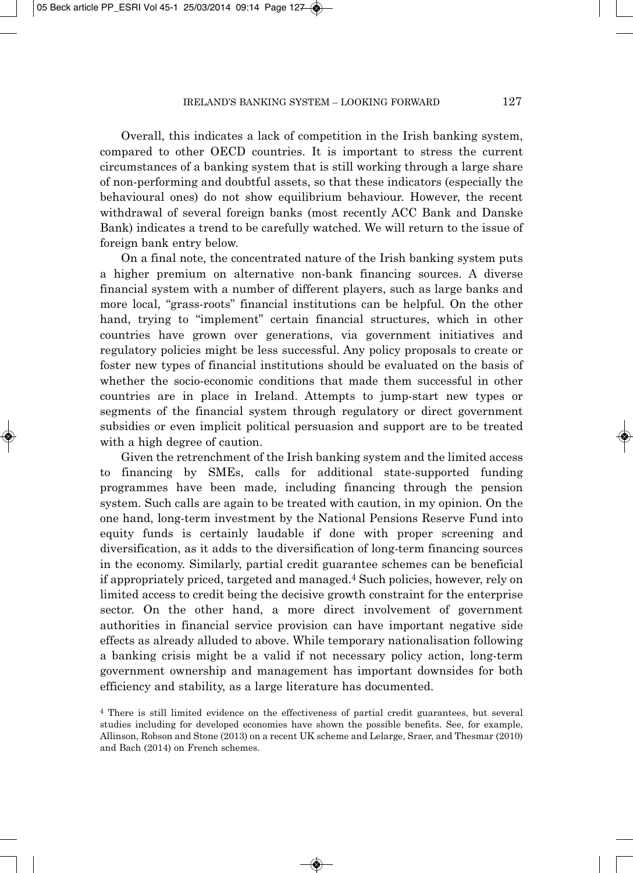Overall, this indicates a lack of competition in the Irish banking system, compared to other OECD countries. It is important to stress the current circumstances of a banking system that is still working through a large share of non-performing and doubtful assets, so that these indicators (especially the behavioural ones) do not show equilibrium behaviour. However, the recent withdrawal of several foreign banks (most recently ACC Bank and Danske Bank) indicates a trend to be carefully watched. We will return to the issue of foreign bank entry below.

On a final note, the concentrated nature of the Irish banking system puts a higher premium on alternative non-bank financing sources. A diverse financial system with a number of different players, such as large banks and more local, "grass-roots" financial institutions can be helpful. On the other hand, trying to "implement" certain financial structures, which in other countries have grown over generations, via government initiatives and regulatory policies might be less successful. Any policy proposals to create or foster new types of financial institutions should be evaluated on the basis of whether the socio-economic conditions that made them successful in other countries are in place in Ireland. Attempts to jump-start new types or segments of the financial system through regulatory or direct government subsidies or even implicit political persuasion and support are to be treated with a high degree of caution.

Given the retrenchment of the Irish banking system and the limited access to financing by SMEs, calls for additional state-supported funding programmes have been made, including financing through the pension system. Such calls are again to be treated with caution, in my opinion. On the one hand, long-term investment by the National Pensions Reserve Fund into equity funds is certainly laudable if done with proper screening and diversification, as it adds to the diversification of long-term financing sources in the economy. Similarly, partial credit guarantee schemes can be beneficial if appropriately priced, targeted and managed.4 Such policies, however, rely on limited access to credit being the decisive growth constraint for the enterprise sector. On the other hand, a more direct involvement of government authorities in financial service provision can have important negative side effects as already alluded to above. While temporary nationalisation following a banking crisis might be a valid if not necessary policy action, long-term government ownership and manage ment has important downsides for both efficiency and stability, as a large literature has documented.

<sup>4</sup> There is still limited evidence on the effectiveness of partial credit guarantees, but several studies including for developed economies have shown the possible benefits. See, for example, Allinson, Robson and Stone (2013) on a recent UK scheme and Lelarge, Sraer, and Thesmar (2010) and Bach (2014) on French schemes.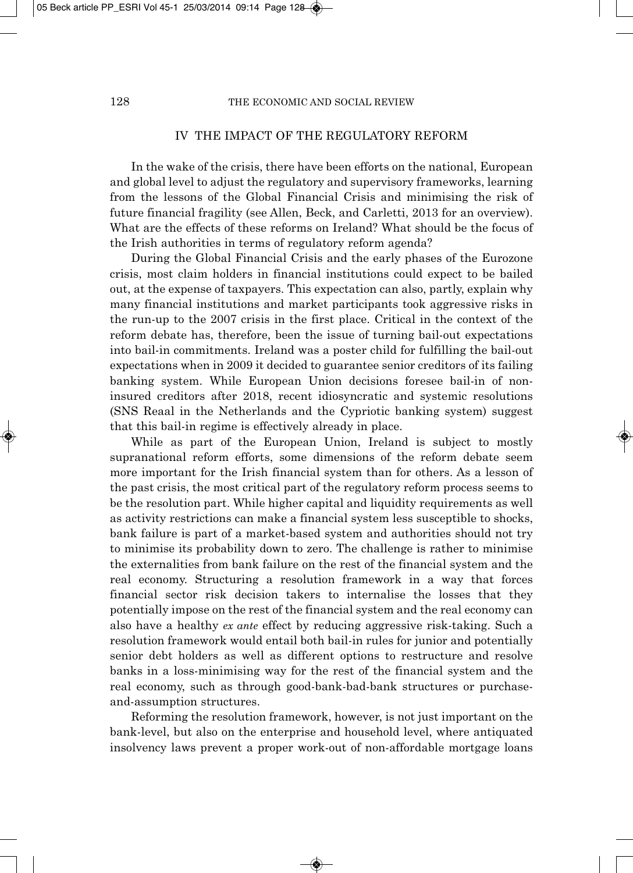### IV THE IMPACT OF THE REGULATORY REFORM

In the wake of the crisis, there have been efforts on the national, European and global level to adjust the regulatory and supervisory frameworks, learning from the lessons of the Global Financial Crisis and minimising the risk of future financial fragility (see Allen, Beck, and Carletti, 2013 for an overview). What are the effects of these reforms on Ireland? What should be the focus of the Irish authorities in terms of regulatory reform agenda?

During the Global Financial Crisis and the early phases of the Eurozone crisis, most claim holders in financial institutions could expect to be bailed out, at the expense of taxpayers. This expectation can also, partly, explain why many financial institutions and market participants took aggressive risks in the run-up to the 2007 crisis in the first place. Critical in the context of the reform debate has, therefore, been the issue of turning bail-out expectations into bail-in commitments. Ireland was a poster child for fulfilling the bail-out expectations when in 2009 it decided to guarantee senior creditors of its failing banking system. While European Union decisions foresee bail-in of noninsured creditors after 2018, recent idiosyncratic and systemic resolutions (SNS Reaal in the Netherlands and the Cypriotic banking system) suggest that this bail-in regime is effectively already in place.

While as part of the European Union, Ireland is subject to mostly supranational reform efforts, some dimensions of the reform debate seem more important for the Irish financial system than for others. As a lesson of the past crisis, the most critical part of the regulatory reform process seems to be the resolution part. While higher capital and liquidity requirements as well as activity restrictions can make a financial system less susceptible to shocks, bank failure is part of a market-based system and authorities should not try to minimise its probability down to zero. The challenge is rather to minimise the externalities from bank failure on the rest of the financial system and the real economy. Structuring a resolution framework in a way that forces financial sector risk decision takers to internalise the losses that they potentially impose on the rest of the financial system and the real economy can also have a healthy *ex ante* effect by reducing aggressive risk-taking. Such a resolution framework would entail both bail-in rules for junior and potentially senior debt holders as well as different options to restructure and resolve banks in a loss-minimising way for the rest of the financial system and the real economy, such as through good-bank-bad-bank structures or purchaseand-assumption structures.

Reforming the resolution framework, however, is not just important on the bank-level, but also on the enterprise and household level, where antiquated insolvency laws prevent a proper work-out of non-affordable mortgage loans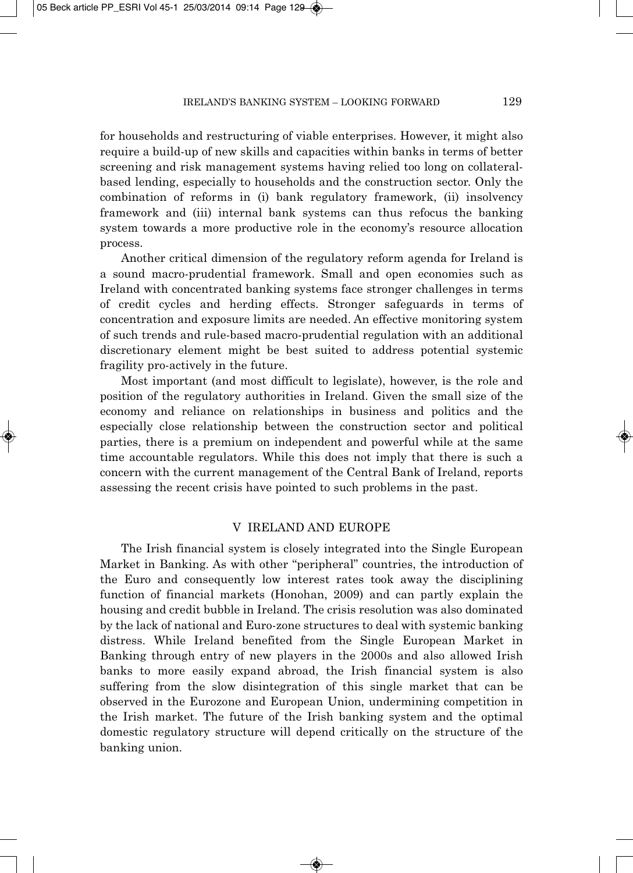for households and restructuring of viable enterprises. However, it might also require a build-up of new skills and capacities within banks in terms of better screening and risk management systems having relied too long on collateralbased lending, especially to households and the construction sector. Only the combination of reforms in (i) bank regulatory framework, (ii) insolvency framework and (iii) internal bank systems can thus refocus the banking system towards a more productive role in the economy's resource allocation process.

Another critical dimension of the regulatory reform agenda for Ireland is a sound macro-prudential framework. Small and open economies such as Ireland with concentrated banking systems face stronger challenges in terms of credit cycles and herding effects. Stronger safeguards in terms of concentration and exposure limits are needed. An effective monitoring system of such trends and rule-based macro-prudential regulation with an additional discretionary element might be best suited to address potential systemic fragility pro-actively in the future.

Most important (and most difficult to legislate), however, is the role and position of the regulatory authorities in Ireland. Given the small size of the economy and reliance on relationships in business and politics and the especially close relationship between the construction sector and political parties, there is a premium on independent and powerful while at the same time accountable regulators. While this does not imply that there is such a concern with the current management of the Central Bank of Ireland, reports assessing the recent crisis have pointed to such problems in the past.

#### V IRELAND AND EUROPE

The Irish financial system is closely integrated into the Single European Market in Banking. As with other "peripheral" countries, the introduction of the Euro and consequently low interest rates took away the disciplining function of financial markets (Honohan, 2009) and can partly explain the housing and credit bubble in Ireland. The crisis resolution was also dominated by the lack of national and Euro-zone structures to deal with systemic banking distress. While Ireland benefited from the Single European Market in Banking through entry of new players in the 2000s and also allowed Irish banks to more easily expand abroad, the Irish financial system is also suffering from the slow disintegration of this single market that can be observed in the Eurozone and European Union, undermining competition in the Irish market. The future of the Irish banking system and the optimal domestic regulatory structure will depend critically on the structure of the banking union.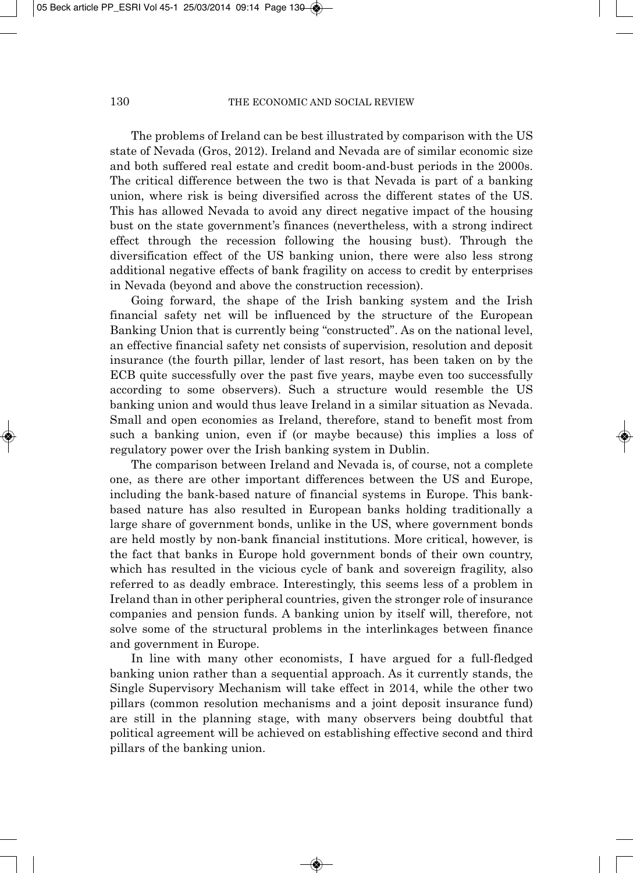The problems of Ireland can be best illustrated by comparison with the US state of Nevada (Gros, 2012). Ireland and Nevada are of similar economic size and both suffered real estate and credit boom-and-bust periods in the 2000s. The critical difference between the two is that Nevada is part of a banking union, where risk is being diversified across the different states of the US. This has allowed Nevada to avoid any direct negative impact of the housing bust on the state government's finances (nevertheless, with a strong indirect effect through the recession following the housing bust). Through the diversification effect of the US banking union, there were also less strong additional negative effects of bank fragility on access to credit by enterprises in Nevada (beyond and above the construction recession).

Going forward, the shape of the Irish banking system and the Irish financial safety net will be influenced by the structure of the European Banking Union that is currently being "constructed". As on the national level, an effective financial safety net consists of supervision, resolution and deposit insurance (the fourth pillar, lender of last resort, has been taken on by the ECB quite successfully over the past five years, maybe even too successfully according to some observers). Such a structure would resemble the US banking union and would thus leave Ireland in a similar situation as Nevada. Small and open economies as Ireland, therefore, stand to benefit most from such a banking union, even if (or maybe because) this implies a loss of regulatory power over the Irish banking system in Dublin.

The comparison between Ireland and Nevada is, of course, not a complete one, as there are other important differences between the US and Europe, including the bank-based nature of financial systems in Europe. This bankbased nature has also resulted in European banks holding traditionally a large share of government bonds, unlike in the US, where government bonds are held mostly by non-bank financial institutions. More critical, however, is the fact that banks in Europe hold government bonds of their own country, which has resulted in the vicious cycle of bank and sovereign fragility, also referred to as deadly embrace. Interestingly, this seems less of a problem in Ireland than in other peripheral countries, given the stronger role of insurance companies and pension funds. A banking union by itself will, therefore, not solve some of the structural problems in the interlinkages between finance and government in Europe.

In line with many other economists, I have argued for a full-fledged banking union rather than a sequential approach. As it currently stands, the Single Supervisory Mechanism will take effect in 2014, while the other two pillars (common resolution mechanisms and a joint deposit insurance fund) are still in the planning stage, with many observers being doubtful that political agreement will be achieved on establishing effective second and third pillars of the banking union.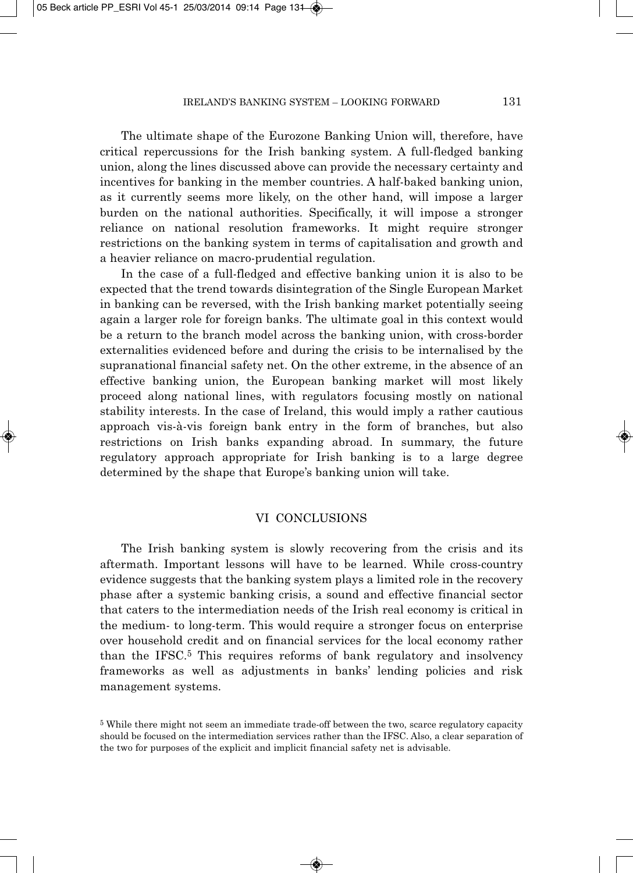The ultimate shape of the Eurozone Banking Union will, therefore, have critical repercussions for the Irish banking system. A full-fledged banking union, along the lines discussed above can provide the necessary certainty and incentives for banking in the member countries. A half-baked banking union, as it currently seems more likely, on the other hand, will impose a larger burden on the national authorities. Specifically, it will impose a stronger reliance on national resolution frameworks. It might require stronger restrictions on the banking system in terms of capitalisation and growth and a heavier reliance on macro-prudential regulation.

In the case of a full-fledged and effective banking union it is also to be expected that the trend towards disintegration of the Single European Market in banking can be reversed, with the Irish banking market potentially seeing again a larger role for foreign banks. The ultimate goal in this context would be a return to the branch model across the banking union, with cross-border externalities evidenced before and during the crisis to be internalised by the supranational financial safety net. On the other extreme, in the absence of an effective banking union, the European banking market will most likely proceed along national lines, with regulators focusing mostly on national stability interests. In the case of Ireland, this would imply a rather cautious approach vis-à-vis foreign bank entry in the form of branches, but also restrictions on Irish banks expanding abroad. In summary, the future regulatory approach appropriate for Irish banking is to a large degree determined by the shape that Europe's banking union will take.

### VI CONCLUSIONS

The Irish banking system is slowly recovering from the crisis and its aftermath. Important lessons will have to be learned. While cross-country evidence suggests that the banking system plays a limited role in the recovery phase after a systemic banking crisis, a sound and effective financial sector that caters to the intermediation needs of the Irish real economy is critical in the medium- to long-term. This would require a stronger focus on enterprise over household credit and on financial services for the local economy rather than the IFSC.5 This requires reforms of bank regulatory and insolvency frameworks as well as adjustments in banks' lending policies and risk management systems.

<sup>5</sup> While there might not seem an immediate trade-off between the two, scarce regulatory capacity should be focused on the intermediation services rather than the IFSC. Also, a clear separation of the two for purposes of the explicit and implicit financial safety net is advisable.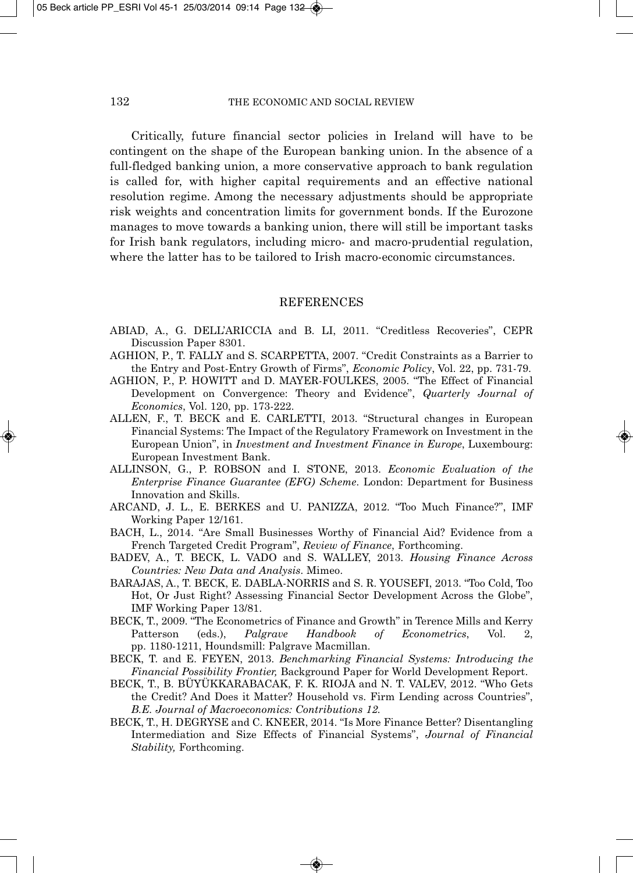Critically, future financial sector policies in Ireland will have to be contingent on the shape of the European banking union. In the absence of a full-fledged banking union, a more conservative approach to bank regulation is called for, with higher capital requirements and an effective national resolution regime. Among the necessary adjustments should be appropriate risk weights and concentration limits for government bonds. If the Eurozone manages to move towards a banking union, there will still be important tasks for Irish bank regulators, including micro- and macro-prudential regulation, where the latter has to be tailored to Irish macro-economic circumstances.

#### **REFERENCES**

- ABIAD, A., G. DELL'ARICCIA and B. LI, 2011. "Creditless Recoveries", CEPR Discussion Paper 8301.
- AGHION, P., T. FALLY and S. SCARPETTA, 2007. "Credit Constraints as a Barrier to the Entry and Post-Entry Growth of Firms", *Economic Policy*, Vol. 22, pp. 731-79.
- AGHION, P., P. HOWITT and D. MAYER-FOULKES, 2005. "The Effect of Financial Development on Convergence: Theory and Evidence", *Quarterly Journal of Economics*, Vol. 120, pp. 173-222.
- ALLEN, F., T. BECK and E. CARLETTI, 2013. "Structural changes in European Financial Systems: The Impact of the Regulatory Framework on Investment in the European Union", in *Investment and Investment Finance in Europe*, Luxembourg: European Investment Bank.
- ALLINSON, G., P. ROBSON and I. STONE, 2013. *Economic Evaluation of the Enterprise Finance Guarantee (EFG) Scheme*. London: Department for Business Innovation and Skills.
- ARCAND, J. L., E. BERKES and U. PANIZZA, 2012. "Too Much Finance?", IMF Working Paper 12/161.
- BACH, L., 2014. "Are Small Businesses Worthy of Financial Aid? Evidence from a French Targeted Credit Program", *Review of Finance*, Forthcoming.
- BADEV, A., T. BECK, L. VADO and S. WALLEY, 2013. *Housing Finance Across Countries: New Data and Analysis*. Mimeo.
- BARAJAS, A., T. BECK, E. DABLA-NORRIS and S. R. YOUSEFI, 2013. "Too Cold, Too Hot, Or Just Right? Assessing Financial Sector Development Across the Globe", IMF Working Paper 13/81.
- BECK, T., 2009. "The Econometrics of Finance and Growth" in Terence Mills and Kerry Patterson (eds.), *Palgrave Handbook of Econometrics*, Vol. 2, pp. 1180-1211, Houndsmill: Palgrave Macmillan.
- BECK, T. and E. FEYEN, 2013. *Benchmarking Financial Systems: Introducing the Financial Possibility Frontier,* Background Paper for World Development Report.
- BECK, T., B. BÜYÜKKARABACAK, F. K. RIOJA and N. T. VALEV, 2012. "Who Gets the Credit? And Does it Matter? Household vs. Firm Lending across Countries", *B.E. Journal of Macroeconomics: Contributions 12.*
- BECK, T., H. DEGRYSE and C. KNEER, 2014. "Is More Finance Better? Disentangling Intermediation and Size Effects of Financial Systems", *Journal of Financial Stability,* Forthcoming.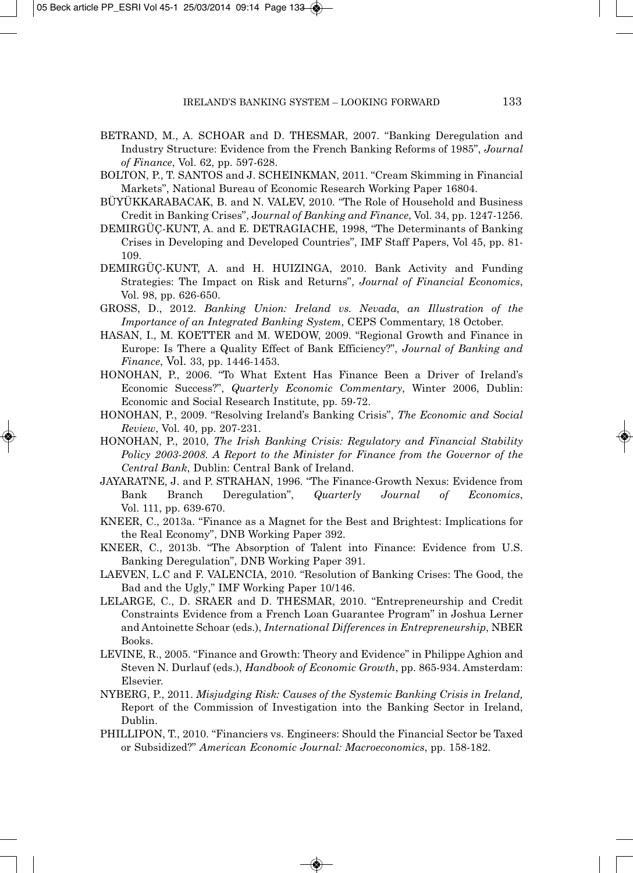- BETRAND, M., A. SCHOAR and D. THESMAR, 2007. "Banking Deregulation and Industry Structure: Evidence from the French Banking Reforms of 1985", *Journal of Finance*, Vol. 62, pp. 597-628.
- BOLTON, P., T. SANTOS and J. SCHEINKMAN, 2011. "Cream Skimming in Financial Markets", National Bureau of Economic Research Working Paper 16804.
- BÜYÜKKARABACAK, B. and N. VALEV, 2010. "The Role of Household and Business Credit in Banking Crises", J*ournal of Banking and Finance*, Vol. 34, pp. 1247-1256.
- DEMIRGÜÇ-KUNT, A. and E. DETRAGIACHE, 1998, "The Determinants of Banking Crises in Developing and Developed Countries", IMF Staff Papers, Vol 45, pp. 81- 109.
- DEMIRGÜÇ-KUNT, A. and H. HUIZINGA, 2010. Bank Activity and Funding Strategies: The Impact on Risk and Returns", *Journal of Financial Economics*, Vol. 98, pp. 626-650.
- GROSS, D., 2012. *Banking Union: Ireland vs. Nevada, an Illustration of the Importance of an Integrated Banking System*, CEPS Commentary, 18 October.
- HASAN, I., M. KOETTER and M. WEDOW, 2009. "Regional Growth and Finance in Europe: Is There a Quality Effect of Bank Efficiency?", *Journal of Banking and Finance*, Vol. 33, pp. 1446-1453.
- HONOHAN, P., 2006. "To What Extent Has Finance Been a Driver of Ireland's Economic Success?", *Quarterly Economic Commentary*, Winter 2006, Dublin: Economic and Social Research Institute, pp. 59-72.
- HONOHAN, P., 2009. "Resolving Ireland's Banking Crisis", *The Economic and Social Review*, Vol. 40, pp. 207-231.
- HONOHAN, P., 2010, *The Irish Banking Crisis: Regulatory and Financial Stability Policy 2003-2008. A Report to the Minister for Finance from the Governor of the Central Bank*, Dublin: Central Bank of Ireland.
- JAYARATNE, J. and P. STRAHAN, 1996. "The Finance-Growth Nexus: Evidence from Bank Branch Deregulation", *Quarterly Journal of Economics*, Vol. 111, pp. 639-670.
- KNEER, C., 2013a. "Finance as a Magnet for the Best and Brightest: Implications for the Real Economy", DNB Working Paper 392.
- KNEER, C., 2013b. "The Absorption of Talent into Finance: Evidence from U.S. Banking Deregulation", DNB Working Paper 391.
- LAEVEN, L.C and F. VALENCIA, 2010. "Resolution of Banking Crises: The Good, the Bad and the Ugly," IMF Working Paper 10/146.
- LELARGE, C., D. SRAER and D. THESMAR, 2010. "Entrepreneurship and Credit Constraints Evidence from a French Loan Guarantee Program" in Joshua Lerner and Antoinette Schoar (eds.), *International Differences in Entrepreneurship*, NBER Books.
- LEVINE, R., 2005. "Finance and Growth: Theory and Evidence" in Philippe Aghion and Steven N. Durlauf (eds.), *Handbook of Economic Growth*, pp. 865-934. Amsterdam: Elsevier.
- NYBERG, P., 2011. *Misjudging Risk: Causes of the Systemic Banking Crisis in Ireland,* Report of the Commission of Investigation into the Banking Sector in Ireland, Dublin.
- PHILLIPON, T., 2010. "Financiers vs. Engineers: Should the Financial Sector be Taxed or Subsidized?" *American Economic Journal: Macroeconomics*, pp. 158-182.